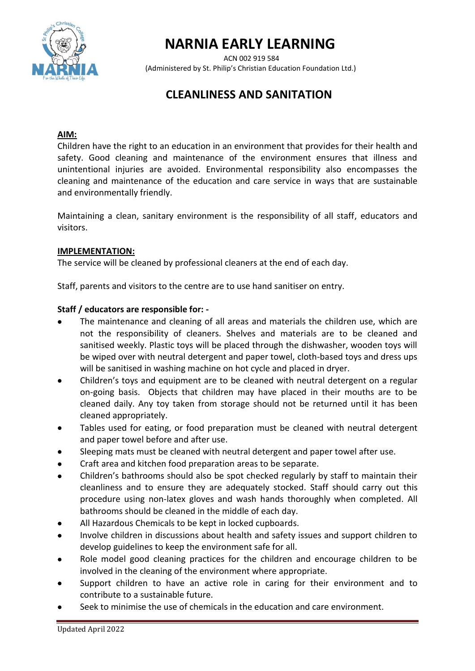

# **NARNIA EARLY LEARNING**

ACN 002 919 584 (Administered by St. Philip's Christian Education Foundation Ltd.)

# **CLEANLINESS AND SANITATION**

### **AIM:**

Children have the right to an education in an environment that provides for their health and safety. Good cleaning and maintenance of the environment ensures that illness and unintentional injuries are avoided. Environmental responsibility also encompasses the cleaning and maintenance of the education and care service in ways that are sustainable and environmentally friendly.

Maintaining a clean, sanitary environment is the responsibility of all staff, educators and visitors.

#### **IMPLEMENTATION:**

The service will be cleaned by professional cleaners at the end of each day.

Staff, parents and visitors to the centre are to use hand sanitiser on entry.

#### **Staff / educators are responsible for: -**

- The maintenance and cleaning of all areas and materials the children use, which are not the responsibility of cleaners. Shelves and materials are to be cleaned and sanitised weekly. Plastic toys will be placed through the dishwasher, wooden toys will be wiped over with neutral detergent and paper towel, cloth-based toys and dress ups will be sanitised in washing machine on hot cycle and placed in dryer.
- Children's toys and equipment are to be cleaned with neutral detergent on a regular on-going basis. Objects that children may have placed in their mouths are to be cleaned daily. Any toy taken from storage should not be returned until it has been cleaned appropriately.
- Tables used for eating, or food preparation must be cleaned with neutral detergent and paper towel before and after use.
- Sleeping mats must be cleaned with neutral detergent and paper towel after use.
- Craft area and kitchen food preparation areas to be separate.
- Children's bathrooms should also be spot checked regularly by staff to maintain their cleanliness and to ensure they are adequately stocked. Staff should carry out this procedure using non-latex gloves and wash hands thoroughly when completed. All bathrooms should be cleaned in the middle of each day.
- All Hazardous Chemicals to be kept in locked cupboards.
- Involve children in discussions about health and safety issues and support children to develop guidelines to keep the environment safe for all.
- Role model good cleaning practices for the children and encourage children to be involved in the cleaning of the environment where appropriate.
- Support children to have an active role in caring for their environment and to contribute to a sustainable future.
- Seek to minimise the use of chemicals in the education and care environment.